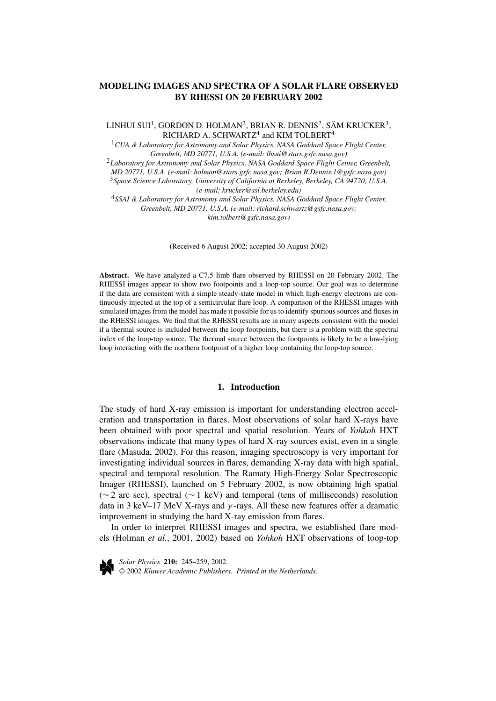# **MODELING IMAGES AND SPECTRA OF A SOLAR FLARE OBSERVED BY RHESSI ON 20 FEBRUARY 2002**

## LINHUI SUI<sup>1</sup>, GORDON D. HOLMAN<sup>2</sup>, BRIAN R. DENNIS<sup>2</sup>, SÄM KRUCKER<sup>3</sup>, RICHARD A. SCHWARTZ<sup>4</sup> and KIM TOLBERT<sup>4</sup>

<sup>1</sup>*CUA & Laboratory for Astronomy and Solar Physics, NASA Goddard Space Flight Center, Greenbelt, MD 20771, U.S.A. (e-mail: lhsui@stars.gsfc.nasa.gov)*

<sup>2</sup>*Laboratory for Astronomy and Solar Physics, NASA Goddard Space Flight Center, Greenbelt,*

*MD 20771, U.S.A. (e-mail: holman@stars.gsfc.nasa.gov; Brian.R.Dennis.1@gsfc.nasa.gov)* <sup>3</sup>*Space Science Laboratory, University of California at Berkeley, Berkeley, CA 94720, U.S.A.*

*(e-mail: krucker@ssl.berkeley.edu)*

<sup>4</sup>*SSAI & Laboratory for Astronomy and Solar Physics, NASA Goddard Space Flight Center, Greenbelt, MD 20771, U.S.A. (e-mail: richard.schwartz@gsfc.nasa.gov; kim.tolbert@gsfc.nasa.gov)*

(Received 6 August 2002; accepted 30 August 2002)

**Abstract.** We have analyzed a C7.5 limb flare observed by RHESSI on 20 February 2002. The RHESSI images appear to show two footpoints and a loop-top source. Our goal was to determine if the data are consistent with a simple steady-state model in which high-energy electrons are continuously injected at the top of a semicircular flare loop. A comparison of the RHESSI images with simulated images from the model has made it possible for us to identify spurious sources and fluxes in the RHESSI images. We find that the RHESSI results are in many aspects consistent with the model if a thermal source is included between the loop footpoints, but there is a problem with the spectral index of the loop-top source. The thermal source between the footpoints is likely to be a low-lying loop interacting with the northern footpoint of a higher loop containing the loop-top source.

### **1. Introduction**

The study of hard X-ray emission is important for understanding electron acceleration and transportation in flares. Most observations of solar hard X-rays have been obtained with poor spectral and spatial resolution. Years of *Yohkoh* HXT observations indicate that many types of hard X-ray sources exist, even in a single flare (Masuda, 2002). For this reason, imaging spectroscopy is very important for investigating individual sources in flares, demanding X-ray data with high spatial, spectral and temporal resolution. The Ramaty High-Energy Solar Spectroscopic Imager (RHESSI), launched on 5 February 2002, is now obtaining high spatial (∼ 2 arc sec), spectral (∼ 1 keV) and temporal (tens of milliseconds) resolution data in 3 keV–17 MeV X-rays and *γ* -rays. All these new features offer a dramatic improvement in studying the hard X-ray emission from flares.

In order to interpret RHESSI images and spectra, we established flare models (Holman *et al.*, 2001, 2002) based on *Yohkoh* HXT observations of loop-top

*Solar Physics* **210:** 245–259, 2002. © 2002 *Kluwer Academic Publishers. Printed in the Netherlands.*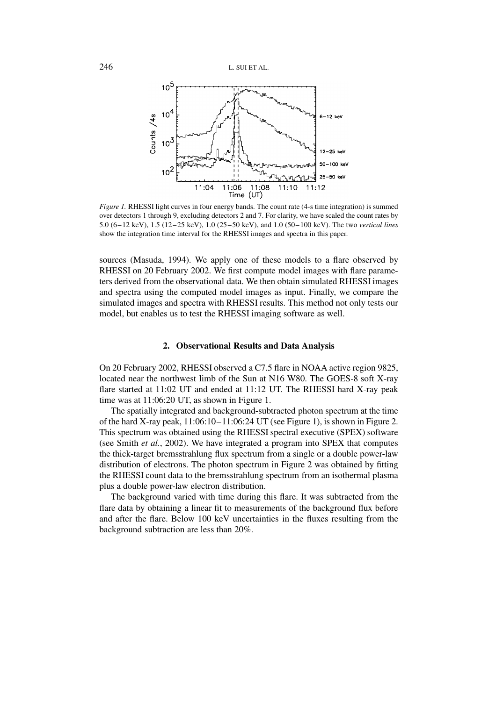

*Figure 1.* RHESSI light curves in four energy bands. The count rate (4-s time integration) is summed over detectors 1 through 9, excluding detectors 2 and 7. For clarity, we have scaled the count rates by 5.0 (6–12 keV), 1.5 (12–25 keV), 1.0 (25–50 keV), and 1.0 (50–100 keV). The two *vertical lines* show the integration time interval for the RHESSI images and spectra in this paper.

sources (Masuda, 1994). We apply one of these models to a flare observed by RHESSI on 20 February 2002. We first compute model images with flare parameters derived from the observational data. We then obtain simulated RHESSI images and spectra using the computed model images as input. Finally, we compare the simulated images and spectra with RHESSI results. This method not only tests our model, but enables us to test the RHESSI imaging software as well.

### **2. Observational Results and Data Analysis**

On 20 February 2002, RHESSI observed a C7.5 flare in NOAA active region 9825, located near the northwest limb of the Sun at N16 W80. The GOES-8 soft X-ray flare started at 11:02 UT and ended at 11:12 UT. The RHESSI hard X-ray peak time was at 11:06:20 UT, as shown in Figure 1.

The spatially integrated and background-subtracted photon spectrum at the time of the hard X-ray peak, 11:06:10–11:06:24 UT (see Figure 1), is shown in Figure 2. This spectrum was obtained using the RHESSI spectral executive (SPEX) software (see Smith *et al.*, 2002). We have integrated a program into SPEX that computes the thick-target bremsstrahlung flux spectrum from a single or a double power-law distribution of electrons. The photon spectrum in Figure 2 was obtained by fitting the RHESSI count data to the bremsstrahlung spectrum from an isothermal plasma plus a double power-law electron distribution.

The background varied with time during this flare. It was subtracted from the flare data by obtaining a linear fit to measurements of the background flux before and after the flare. Below 100 keV uncertainties in the fluxes resulting from the background subtraction are less than 20%.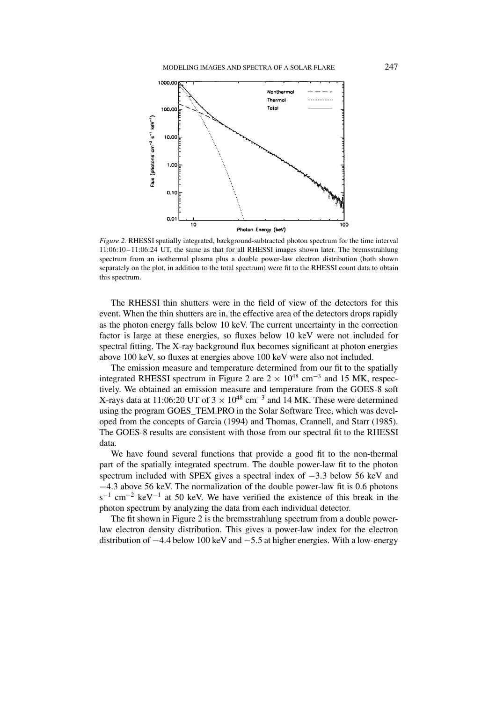

*Figure 2.* RHESSI spatially integrated, background-subtracted photon spectrum for the time interval 11:06:10–11:06:24 UT, the same as that for all RHESSI images shown later. The bremsstrahlung spectrum from an isothermal plasma plus a double power-law electron distribution (both shown separately on the plot, in addition to the total spectrum) were fit to the RHESSI count data to obtain this spectrum.

The RHESSI thin shutters were in the field of view of the detectors for this event. When the thin shutters are in, the effective area of the detectors drops rapidly as the photon energy falls below 10 keV. The current uncertainty in the correction factor is large at these energies, so fluxes below 10 keV were not included for spectral fitting. The X-ray background flux becomes significant at photon energies above 100 keV, so fluxes at energies above 100 keV were also not included.

The emission measure and temperature determined from our fit to the spatially integrated RHESSI spectrum in Figure 2 are  $2 \times 10^{48}$  cm<sup>-3</sup> and 15 MK, respectively. We obtained an emission measure and temperature from the GOES-8 soft X-rays data at 11:06:20 UT of  $3 \times 10^{48}$  cm<sup>-3</sup> and 14 MK. These were determined using the program GOES\_TEM.PRO in the Solar Software Tree, which was developed from the concepts of Garcia (1994) and Thomas, Crannell, and Starr (1985). The GOES-8 results are consistent with those from our spectral fit to the RHESSI data.

We have found several functions that provide a good fit to the non-thermal part of the spatially integrated spectrum. The double power-law fit to the photon spectrum included with SPEX gives a spectral index of −3*.*3 below 56 keV and −4*.*3 above 56 keV. The normalization of the double power-law fit is 0.6 photons  $s^{-1}$  cm<sup>-2</sup> keV<sup>-1</sup> at 50 keV. We have verified the existence of this break in the photon spectrum by analyzing the data from each individual detector.

The fit shown in Figure 2 is the bremsstrahlung spectrum from a double powerlaw electron density distribution. This gives a power-law index for the electron distribution of −4*.*4 below 100 keV and −5*.*5 at higher energies. With a low-energy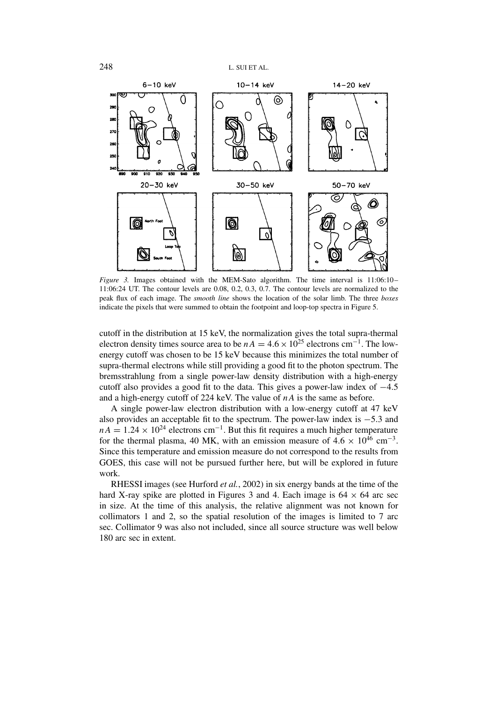

*Figure 3.* Images obtained with the MEM-Sato algorithm. The time interval is 11:06:10– 11:06:24 UT. The contour levels are 0.08, 0.2, 0.3, 0.7. The contour levels are normalized to the peak flux of each image. The *smooth line* shows the location of the solar limb. The three *boxes* indicate the pixels that were summed to obtain the footpoint and loop-top spectra in Figure 5.

cutoff in the distribution at 15 keV, the normalization gives the total supra-thermal electron density times source area to be  $nA = 4.6 \times 10^{25}$  electrons cm<sup>-1</sup>. The lowenergy cutoff was chosen to be 15 keV because this minimizes the total number of supra-thermal electrons while still providing a good fit to the photon spectrum. The bremsstrahlung from a single power-law density distribution with a high-energy cutoff also provides a good fit to the data. This gives a power-law index of −4*.*5 and a high-energy cutoff of 224 keV. The value of *nA* is the same as before.

A single power-law electron distribution with a low-energy cutoff at 47 keV also provides an acceptable fit to the spectrum. The power-law index is −5*.*3 and  $nA = 1.24 \times 10^{24}$  electrons cm<sup>-1</sup>. But this fit requires a much higher temperature for the thermal plasma, 40 MK, with an emission measure of  $4.6 \times 10^{46}$  cm<sup>-3</sup>. Since this temperature and emission measure do not correspond to the results from GOES, this case will not be pursued further here, but will be explored in future work.

RHESSI images (see Hurford *et al.*, 2002) in six energy bands at the time of the hard X-ray spike are plotted in Figures 3 and 4. Each image is  $64 \times 64$  arc sec in size. At the time of this analysis, the relative alignment was not known for collimators 1 and 2, so the spatial resolution of the images is limited to 7 arc sec. Collimator 9 was also not included, since all source structure was well below 180 arc sec in extent.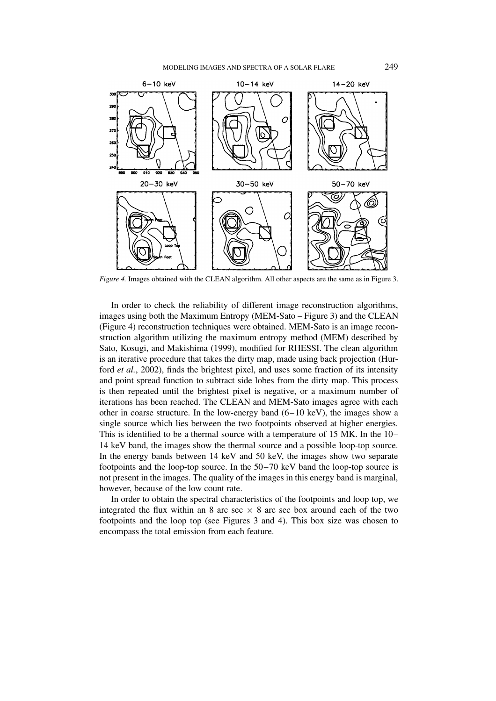MODELING IMAGES AND SPECTRA OF A SOLAR FLARE 249



*Figure 4.* Images obtained with the CLEAN algorithm. All other aspects are the same as in Figure 3.

In order to check the reliability of different image reconstruction algorithms, images using both the Maximum Entropy (MEM-Sato – Figure 3) and the CLEAN (Figure 4) reconstruction techniques were obtained. MEM-Sato is an image reconstruction algorithm utilizing the maximum entropy method (MEM) described by Sato, Kosugi, and Makishima (1999), modified for RHESSI. The clean algorithm is an iterative procedure that takes the dirty map, made using back projection (Hurford *et al.*, 2002), finds the brightest pixel, and uses some fraction of its intensity and point spread function to subtract side lobes from the dirty map. This process is then repeated until the brightest pixel is negative, or a maximum number of iterations has been reached. The CLEAN and MEM-Sato images agree with each other in coarse structure. In the low-energy band (6–10 keV), the images show a single source which lies between the two footpoints observed at higher energies. This is identified to be a thermal source with a temperature of 15 MK. In the 10– 14 keV band, the images show the thermal source and a possible loop-top source. In the energy bands between 14 keV and 50 keV, the images show two separate footpoints and the loop-top source. In the 50–70 keV band the loop-top source is not present in the images. The quality of the images in this energy band is marginal, however, because of the low count rate.

In order to obtain the spectral characteristics of the footpoints and loop top, we integrated the flux within an 8 arc sec  $\times$  8 arc sec box around each of the two footpoints and the loop top (see Figures 3 and 4). This box size was chosen to encompass the total emission from each feature.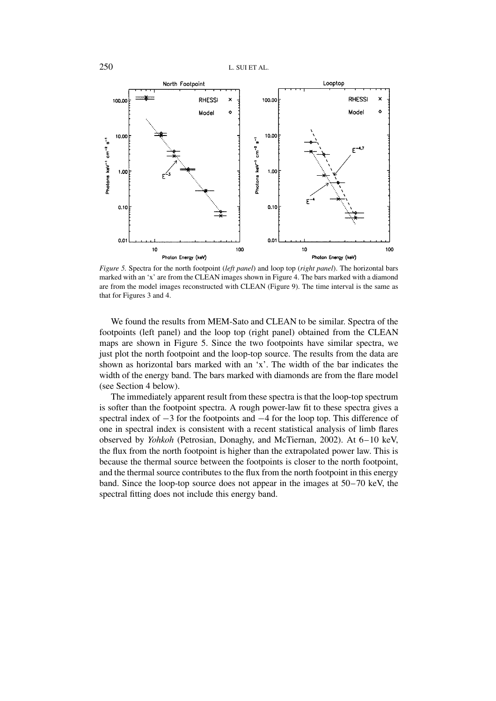

*Figure 5.* Spectra for the north footpoint (*left panel*) and loop top (*right panel*). The horizontal bars marked with an 'x' are from the CLEAN images shown in Figure 4. The bars marked with a diamond are from the model images reconstructed with CLEAN (Figure 9). The time interval is the same as that for Figures 3 and 4.

We found the results from MEM-Sato and CLEAN to be similar. Spectra of the footpoints (left panel) and the loop top (right panel) obtained from the CLEAN maps are shown in Figure 5. Since the two footpoints have similar spectra, we just plot the north footpoint and the loop-top source. The results from the data are shown as horizontal bars marked with an 'x'. The width of the bar indicates the width of the energy band. The bars marked with diamonds are from the flare model (see Section 4 below).

The immediately apparent result from these spectra is that the loop-top spectrum is softer than the footpoint spectra. A rough power-law fit to these spectra gives a spectral index of −3 for the footpoints and −4 for the loop top. This difference of one in spectral index is consistent with a recent statistical analysis of limb flares observed by *Yohkoh* (Petrosian, Donaghy, and McTiernan, 2002). At 6–10 keV, the flux from the north footpoint is higher than the extrapolated power law. This is because the thermal source between the footpoints is closer to the north footpoint, and the thermal source contributes to the flux from the north footpoint in this energy band. Since the loop-top source does not appear in the images at 50–70 keV, the spectral fitting does not include this energy band.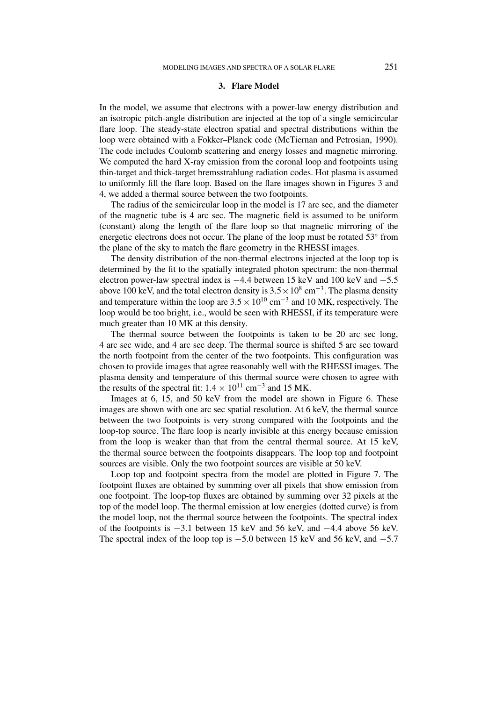### **3. Flare Model**

In the model, we assume that electrons with a power-law energy distribution and an isotropic pitch-angle distribution are injected at the top of a single semicircular flare loop. The steady-state electron spatial and spectral distributions within the loop were obtained with a Fokker–Planck code (McTiernan and Petrosian, 1990). The code includes Coulomb scattering and energy losses and magnetic mirroring. We computed the hard X-ray emission from the coronal loop and footpoints using thin-target and thick-target bremsstrahlung radiation codes. Hot plasma is assumed to uniformly fill the flare loop. Based on the flare images shown in Figures 3 and 4, we added a thermal source between the two footpoints.

The radius of the semicircular loop in the model is 17 arc sec, and the diameter of the magnetic tube is 4 arc sec. The magnetic field is assumed to be uniform (constant) along the length of the flare loop so that magnetic mirroring of the energetic electrons does not occur. The plane of the loop must be rotated 53° from the plane of the sky to match the flare geometry in the RHESSI images.

The density distribution of the non-thermal electrons injected at the loop top is determined by the fit to the spatially integrated photon spectrum: the non-thermal electron power-law spectral index is −4*.*4 between 15 keV and 100 keV and −5*.*5 above 100 keV, and the total electron density is  $3.5 \times 10^8$  cm<sup>-3</sup>. The plasma density and temperature within the loop are  $3.5 \times 10^{10}$  cm<sup>-3</sup> and 10 MK, respectively. The loop would be too bright, i.e., would be seen with RHESSI, if its temperature were much greater than 10 MK at this density.

The thermal source between the footpoints is taken to be 20 arc sec long, 4 arc sec wide, and 4 arc sec deep. The thermal source is shifted 5 arc sec toward the north footpoint from the center of the two footpoints. This configuration was chosen to provide images that agree reasonably well with the RHESSI images. The plasma density and temperature of this thermal source were chosen to agree with the results of the spectral fit:  $1.4 \times 10^{11}$  cm<sup>-3</sup> and 15 MK.

Images at 6, 15, and 50 keV from the model are shown in Figure 6. These images are shown with one arc sec spatial resolution. At 6 keV, the thermal source between the two footpoints is very strong compared with the footpoints and the loop-top source. The flare loop is nearly invisible at this energy because emission from the loop is weaker than that from the central thermal source. At 15 keV, the thermal source between the footpoints disappears. The loop top and footpoint sources are visible. Only the two footpoint sources are visible at 50 keV.

Loop top and footpoint spectra from the model are plotted in Figure 7. The footpoint fluxes are obtained by summing over all pixels that show emission from one footpoint. The loop-top fluxes are obtained by summing over 32 pixels at the top of the model loop. The thermal emission at low energies (dotted curve) is from the model loop, not the thermal source between the footpoints. The spectral index of the footpoints is −3*.*1 between 15 keV and 56 keV, and −4*.*4 above 56 keV. The spectral index of the loop top is −5*.*0 between 15 keV and 56 keV, and −5*.*7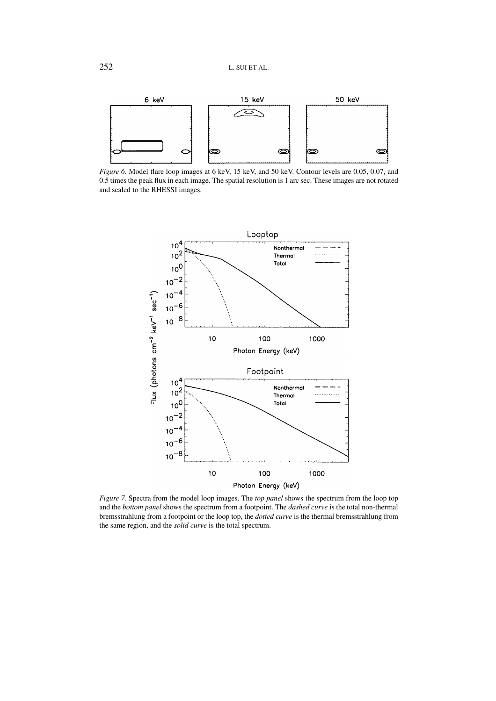

*Figure 6.* Model flare loop images at 6 keV, 15 keV, and 50 keV. Contour levels are 0.05, 0.07, and 0.5 times the peak flux in each image. The spatial resolution is 1 arc sec. These images are not rotated and scaled to the RHESSI images.



*Figure 7.* Spectra from the model loop images. The *top panel* shows the spectrum from the loop top and the *bottom panel* shows the spectrum from a footpoint. The *dashed curve* is the total non-thermal bremsstrahlung from a footpoint or the loop top, the *dotted curve* is the thermal bremsstrahlung from the same region, and the *solid curve* is the total spectrum.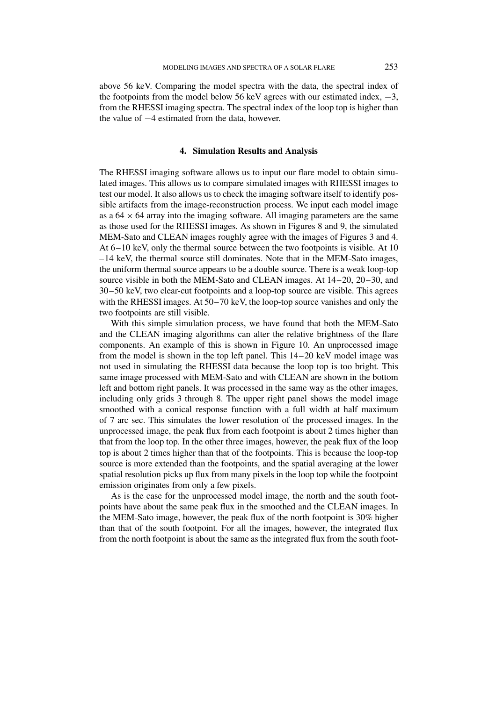above 56 keV. Comparing the model spectra with the data, the spectral index of the footpoints from the model below 56 keV agrees with our estimated index,  $-3$ , from the RHESSI imaging spectra. The spectral index of the loop top is higher than the value of −4 estimated from the data, however.

### **4. Simulation Results and Analysis**

The RHESSI imaging software allows us to input our flare model to obtain simulated images. This allows us to compare simulated images with RHESSI images to test our model. It also allows us to check the imaging software itself to identify possible artifacts from the image-reconstruction process. We input each model image as a  $64 \times 64$  array into the imaging software. All imaging parameters are the same as those used for the RHESSI images. As shown in Figures 8 and 9, the simulated MEM-Sato and CLEAN images roughly agree with the images of Figures 3 and 4. At 6–10 keV, only the thermal source between the two footpoints is visible. At 10 –14 keV, the thermal source still dominates. Note that in the MEM-Sato images, the uniform thermal source appears to be a double source. There is a weak loop-top source visible in both the MEM-Sato and CLEAN images. At 14–20, 20–30, and 30–50 keV, two clear-cut footpoints and a loop-top source are visible. This agrees with the RHESSI images. At 50–70 keV, the loop-top source vanishes and only the two footpoints are still visible.

With this simple simulation process, we have found that both the MEM-Sato and the CLEAN imaging algorithms can alter the relative brightness of the flare components. An example of this is shown in Figure 10. An unprocessed image from the model is shown in the top left panel. This 14–20 keV model image was not used in simulating the RHESSI data because the loop top is too bright. This same image processed with MEM-Sato and with CLEAN are shown in the bottom left and bottom right panels. It was processed in the same way as the other images, including only grids 3 through 8. The upper right panel shows the model image smoothed with a conical response function with a full width at half maximum of 7 arc sec. This simulates the lower resolution of the processed images. In the unprocessed image, the peak flux from each footpoint is about 2 times higher than that from the loop top. In the other three images, however, the peak flux of the loop top is about 2 times higher than that of the footpoints. This is because the loop-top source is more extended than the footpoints, and the spatial averaging at the lower spatial resolution picks up flux from many pixels in the loop top while the footpoint emission originates from only a few pixels.

As is the case for the unprocessed model image, the north and the south footpoints have about the same peak flux in the smoothed and the CLEAN images. In the MEM-Sato image, however, the peak flux of the north footpoint is 30% higher than that of the south footpoint. For all the images, however, the integrated flux from the north footpoint is about the same as the integrated flux from the south foot-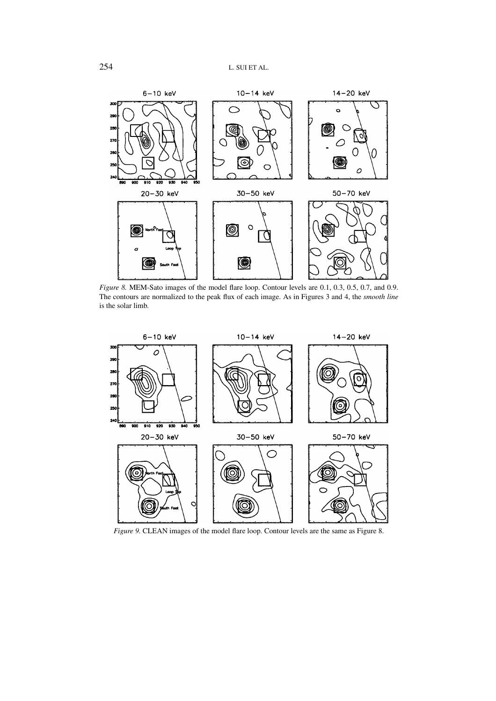

*Figure 8.* MEM-Sato images of the model flare loop. Contour levels are 0.1, 0.3, 0.5, 0.7, and 0.9. The contours are normalized to the peak flux of each image. As in Figures 3 and 4, the *smooth line* is the solar limb.



*Figure 9.* CLEAN images of the model flare loop. Contour levels are the same as Figure 8.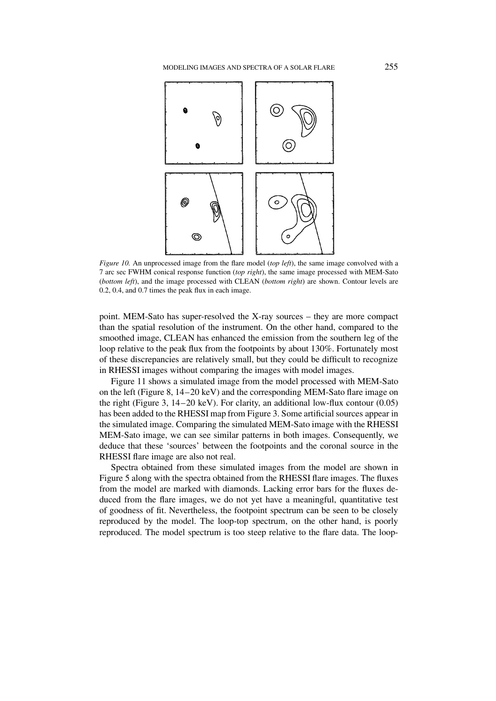#### MODELING IMAGES AND SPECTRA OF A SOLAR FLARE 255



*Figure 10.* An unprocessed image from the flare model (*top left*), the same image convolved with a 7 arc sec FWHM conical response function (*top right*), the same image processed with MEM-Sato (*bottom left*), and the image processed with CLEAN (*bottom right*) are shown. Contour levels are 0.2, 0.4, and 0.7 times the peak flux in each image.

point. MEM-Sato has super-resolved the X-ray sources – they are more compact than the spatial resolution of the instrument. On the other hand, compared to the smoothed image, CLEAN has enhanced the emission from the southern leg of the loop relative to the peak flux from the footpoints by about 130%. Fortunately most of these discrepancies are relatively small, but they could be difficult to recognize in RHESSI images without comparing the images with model images.

Figure 11 shows a simulated image from the model processed with MEM-Sato on the left (Figure 8, 14–20 keV) and the corresponding MEM-Sato flare image on the right (Figure 3,  $14-20 \text{ keV}$ ). For clarity, an additional low-flux contour  $(0.05)$ has been added to the RHESSI map from Figure 3. Some artificial sources appear in the simulated image. Comparing the simulated MEM-Sato image with the RHESSI MEM-Sato image, we can see similar patterns in both images. Consequently, we deduce that these 'sources' between the footpoints and the coronal source in the RHESSI flare image are also not real.

Spectra obtained from these simulated images from the model are shown in Figure 5 along with the spectra obtained from the RHESSI flare images. The fluxes from the model are marked with diamonds. Lacking error bars for the fluxes deduced from the flare images, we do not yet have a meaningful, quantitative test of goodness of fit. Nevertheless, the footpoint spectrum can be seen to be closely reproduced by the model. The loop-top spectrum, on the other hand, is poorly reproduced. The model spectrum is too steep relative to the flare data. The loop-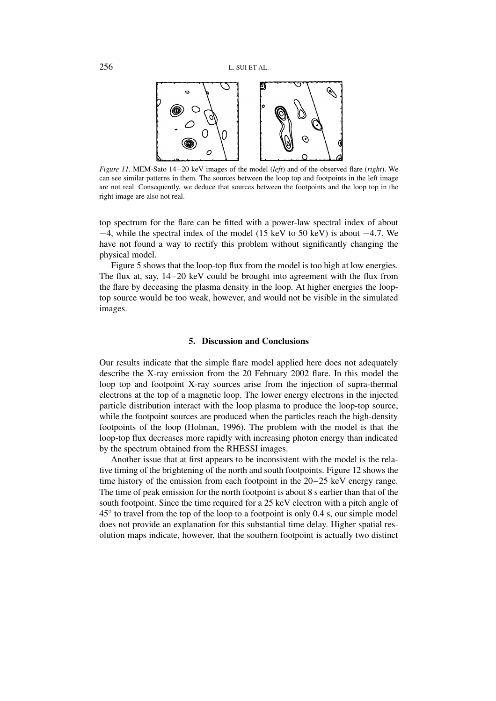

*Figure 11.* MEM-Sato 14–20 keV images of the model (*left*) and of the observed flare (*right*). We can see similar patterns in them. The sources between the loop top and footpoints in the left image are not real. Consequently, we deduce that sources between the footpoints and the loop top in the right image are also not real.

top spectrum for the flare can be fitted with a power-law spectral index of about −4, while the spectral index of the model (15 keV to 50 keV) is about −4*.*7. We have not found a way to rectify this problem without significantly changing the physical model.

Figure 5 shows that the loop-top flux from the model is too high at low energies. The flux at, say, 14–20 keV could be brought into agreement with the flux from the flare by deceasing the plasma density in the loop. At higher energies the looptop source would be too weak, however, and would not be visible in the simulated images.

### **5. Discussion and Conclusions**

Our results indicate that the simple flare model applied here does not adequately describe the X-ray emission from the 20 February 2002 flare. In this model the loop top and footpoint X-ray sources arise from the injection of supra-thermal electrons at the top of a magnetic loop. The lower energy electrons in the injected particle distribution interact with the loop plasma to produce the loop-top source, while the footpoint sources are produced when the particles reach the high-density footpoints of the loop (Holman, 1996). The problem with the model is that the loop-top flux decreases more rapidly with increasing photon energy than indicated by the spectrum obtained from the RHESSI images.

Another issue that at first appears to be inconsistent with the model is the relative timing of the brightening of the north and south footpoints. Figure 12 shows the time history of the emission from each footpoint in the 20–25 keV energy range. The time of peak emission for the north footpoint is about 8 s earlier than that of the south footpoint. Since the time required for a 25 keV electron with a pitch angle of  $45^\circ$  to travel from the top of the loop to a footpoint is only 0.4 s, our simple model does not provide an explanation for this substantial time delay. Higher spatial resolution maps indicate, however, that the southern footpoint is actually two distinct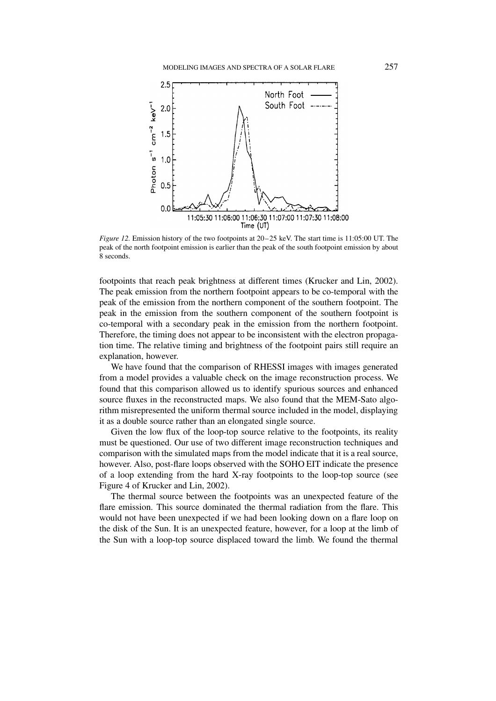

*Figure 12.* Emission history of the two footpoints at 20–25 keV. The start time is 11:05:00 UT. The peak of the north footpoint emission is earlier than the peak of the south footpoint emission by about 8 seconds.

footpoints that reach peak brightness at different times (Krucker and Lin, 2002). The peak emission from the northern footpoint appears to be co-temporal with the peak of the emission from the northern component of the southern footpoint. The peak in the emission from the southern component of the southern footpoint is co-temporal with a secondary peak in the emission from the northern footpoint. Therefore, the timing does not appear to be inconsistent with the electron propagation time. The relative timing and brightness of the footpoint pairs still require an explanation, however.

We have found that the comparison of RHESSI images with images generated from a model provides a valuable check on the image reconstruction process. We found that this comparison allowed us to identify spurious sources and enhanced source fluxes in the reconstructed maps. We also found that the MEM-Sato algorithm misrepresented the uniform thermal source included in the model, displaying it as a double source rather than an elongated single source.

Given the low flux of the loop-top source relative to the footpoints, its reality must be questioned. Our use of two different image reconstruction techniques and comparison with the simulated maps from the model indicate that it is a real source, however. Also, post-flare loops observed with the SOHO EIT indicate the presence of a loop extending from the hard X-ray footpoints to the loop-top source (see Figure 4 of Krucker and Lin, 2002).

The thermal source between the footpoints was an unexpected feature of the flare emission. This source dominated the thermal radiation from the flare. This would not have been unexpected if we had been looking down on a flare loop on the disk of the Sun. It is an unexpected feature, however, for a loop at the limb of the Sun with a loop-top source displaced toward the limb. We found the thermal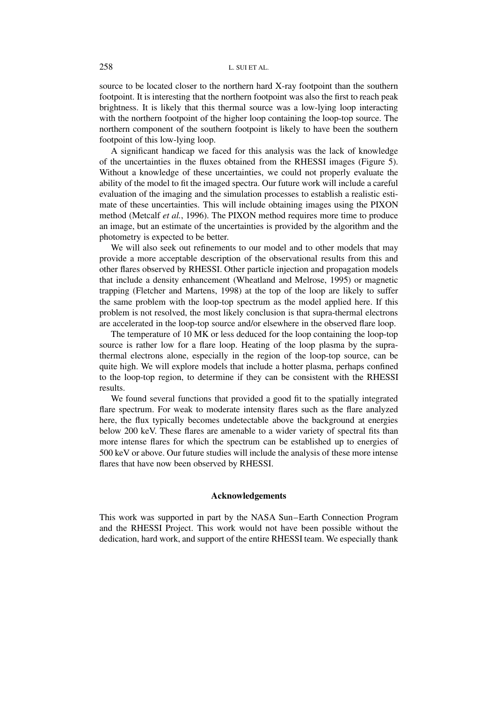### 258 L. SUI ET AL.

source to be located closer to the northern hard X-ray footpoint than the southern footpoint. It is interesting that the northern footpoint was also the first to reach peak brightness. It is likely that this thermal source was a low-lying loop interacting with the northern footpoint of the higher loop containing the loop-top source. The northern component of the southern footpoint is likely to have been the southern footpoint of this low-lying loop.

A significant handicap we faced for this analysis was the lack of knowledge of the uncertainties in the fluxes obtained from the RHESSI images (Figure 5). Without a knowledge of these uncertainties, we could not properly evaluate the ability of the model to fit the imaged spectra. Our future work will include a careful evaluation of the imaging and the simulation processes to establish a realistic estimate of these uncertainties. This will include obtaining images using the PIXON method (Metcalf *et al.*, 1996). The PIXON method requires more time to produce an image, but an estimate of the uncertainties is provided by the algorithm and the photometry is expected to be better.

We will also seek out refinements to our model and to other models that may provide a more acceptable description of the observational results from this and other flares observed by RHESSI. Other particle injection and propagation models that include a density enhancement (Wheatland and Melrose, 1995) or magnetic trapping (Fletcher and Martens, 1998) at the top of the loop are likely to suffer the same problem with the loop-top spectrum as the model applied here. If this problem is not resolved, the most likely conclusion is that supra-thermal electrons are accelerated in the loop-top source and/or elsewhere in the observed flare loop.

The temperature of 10 MK or less deduced for the loop containing the loop-top source is rather low for a flare loop. Heating of the loop plasma by the suprathermal electrons alone, especially in the region of the loop-top source, can be quite high. We will explore models that include a hotter plasma, perhaps confined to the loop-top region, to determine if they can be consistent with the RHESSI results.

We found several functions that provided a good fit to the spatially integrated flare spectrum. For weak to moderate intensity flares such as the flare analyzed here, the flux typically becomes undetectable above the background at energies below 200 keV. These flares are amenable to a wider variety of spectral fits than more intense flares for which the spectrum can be established up to energies of 500 keV or above. Our future studies will include the analysis of these more intense flares that have now been observed by RHESSI.

### **Acknowledgements**

This work was supported in part by the NASA Sun–Earth Connection Program and the RHESSI Project. This work would not have been possible without the dedication, hard work, and support of the entire RHESSI team. We especially thank